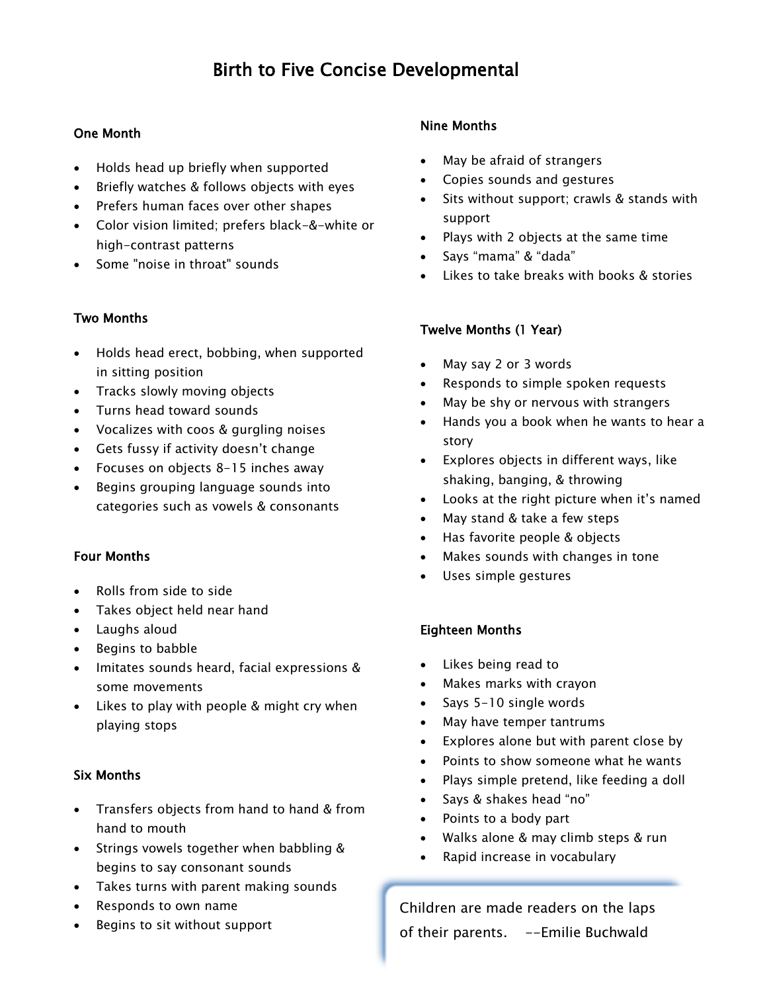# Birth to Five Concise Developmental

## One Month

- Holds head up briefly when supported
- Briefly watches & follows objects with eyes
- Prefers human faces over other shapes
- Color vision limited; prefers black-&-white or high-contrast patterns
- Some "noise in throat" sounds

#### Two Months

- Holds head erect, bobbing, when supported in sitting position
- Tracks slowly moving objects
- Turns head toward sounds
- Vocalizes with coos & gurgling noises
- Gets fussy if activity doesn't change
- Focuses on objects 8-15 inches away
- Begins grouping language sounds into categories such as vowels & consonants

#### Four Months

- Rolls from side to side
- Takes object held near hand
- Laughs aloud
- Begins to babble
- Imitates sounds heard, facial expressions & some movements
- Likes to play with people & might cry when playing stops

#### Six Months

- Transfers objects from hand to hand & from hand to mouth
- Strings vowels together when babbling & begins to say consonant sounds
- Takes turns with parent making sounds
- Responds to own name
- Begins to sit without support

## Nine Months

- May be afraid of strangers
- Copies sounds and gestures
- Sits without support; crawls & stands with support
- Plays with 2 objects at the same time
- Says "mama" & "dada"
- Likes to take breaks with books & stories

#### Twelve Months (1 Year)

- May say 2 or 3 words
- Responds to simple spoken requests
- May be shy or nervous with strangers
- Hands you a book when he wants to hear a story
- Explores objects in different ways, like shaking, banging, & throwing
- Looks at the right picture when it's named
- May stand & take a few steps
- Has favorite people & objects
- Makes sounds with changes in tone
- Uses simple gestures

#### Eighteen Months

- Likes being read to
- Makes marks with crayon
- Says 5-10 single words
- May have temper tantrums
- Explores alone but with parent close by
- Points to show someone what he wants
- Plays simple pretend, like feeding a doll
- Says & shakes head "no"
- Points to a body part
- Walks alone & may climb steps & run
- Rapid increase in vocabulary

Children are made readers on the laps of their parents. --Emilie Buchwald